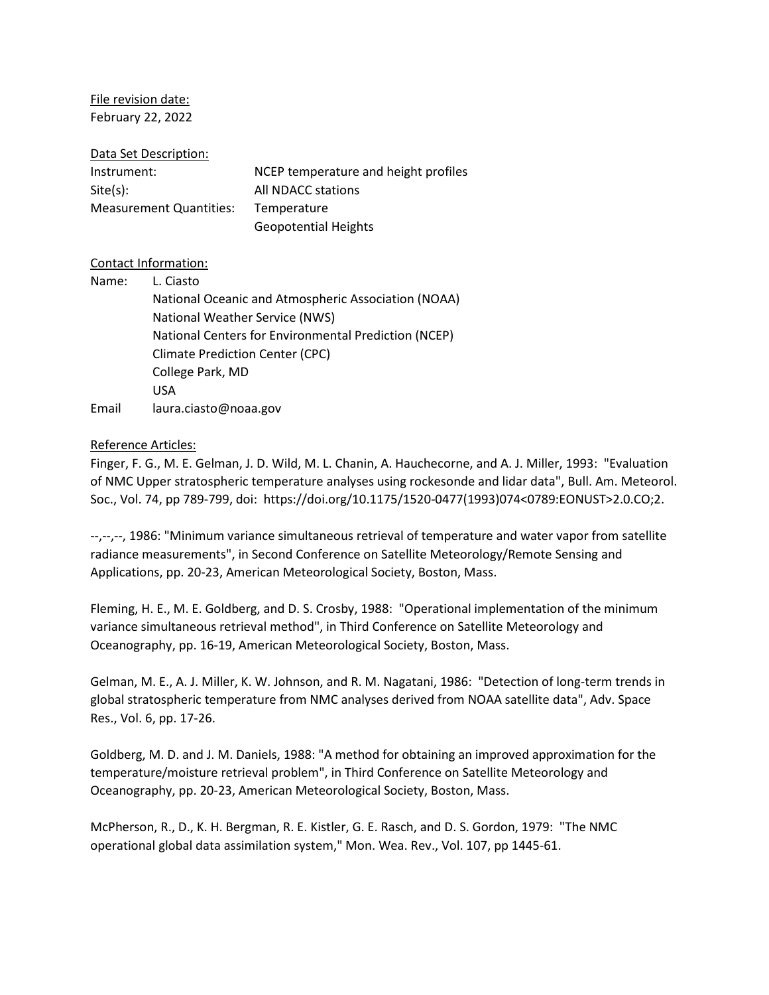File revision date: February 22, 2022

### Data Set Description:

| Instrument:             | NCEP temperature and height profiles |
|-------------------------|--------------------------------------|
| Site(s):                | All NDACC stations                   |
| Measurement Quantities: | Temperature                          |
|                         | <b>Geopotential Heights</b>          |

## Contact Information:

| Name: | L. Ciasto                                            |
|-------|------------------------------------------------------|
|       | National Oceanic and Atmospheric Association (NOAA)  |
|       | National Weather Service (NWS)                       |
|       | National Centers for Environmental Prediction (NCEP) |
|       | <b>Climate Prediction Center (CPC)</b>               |
|       | College Park, MD                                     |
|       | USA                                                  |
| Email | laura.ciasto@noaa.gov                                |

## Reference Articles:

Finger, F. G., M. E. Gelman, J. D. Wild, M. L. Chanin, A. Hauchecorne, and A. J. Miller, 1993: "Evaluation of NMC Upper stratospheric temperature analyses using rockesonde and lidar data", Bull. Am. Meteorol. Soc., Vol. 74, pp 789-799, doi: https://doi.org/10.1175/1520-0477(1993)074<0789:EONUST>2.0.CO;2.

--,--,--, 1986: "Minimum variance simultaneous retrieval of temperature and water vapor from satellite radiance measurements", in Second Conference on Satellite Meteorology/Remote Sensing and Applications, pp. 20-23, American Meteorological Society, Boston, Mass.

Fleming, H. E., M. E. Goldberg, and D. S. Crosby, 1988: "Operational implementation of the minimum variance simultaneous retrieval method", in Third Conference on Satellite Meteorology and Oceanography, pp. 16-19, American Meteorological Society, Boston, Mass.

Gelman, M. E., A. J. Miller, K. W. Johnson, and R. M. Nagatani, 1986: "Detection of long-term trends in global stratospheric temperature from NMC analyses derived from NOAA satellite data", Adv. Space Res., Vol. 6, pp. 17-26.

Goldberg, M. D. and J. M. Daniels, 1988: "A method for obtaining an improved approximation for the temperature/moisture retrieval problem", in Third Conference on Satellite Meteorology and Oceanography, pp. 20-23, American Meteorological Society, Boston, Mass.

McPherson, R., D., K. H. Bergman, R. E. Kistler, G. E. Rasch, and D. S. Gordon, 1979: "The NMC operational global data assimilation system," Mon. Wea. Rev., Vol. 107, pp 1445-61.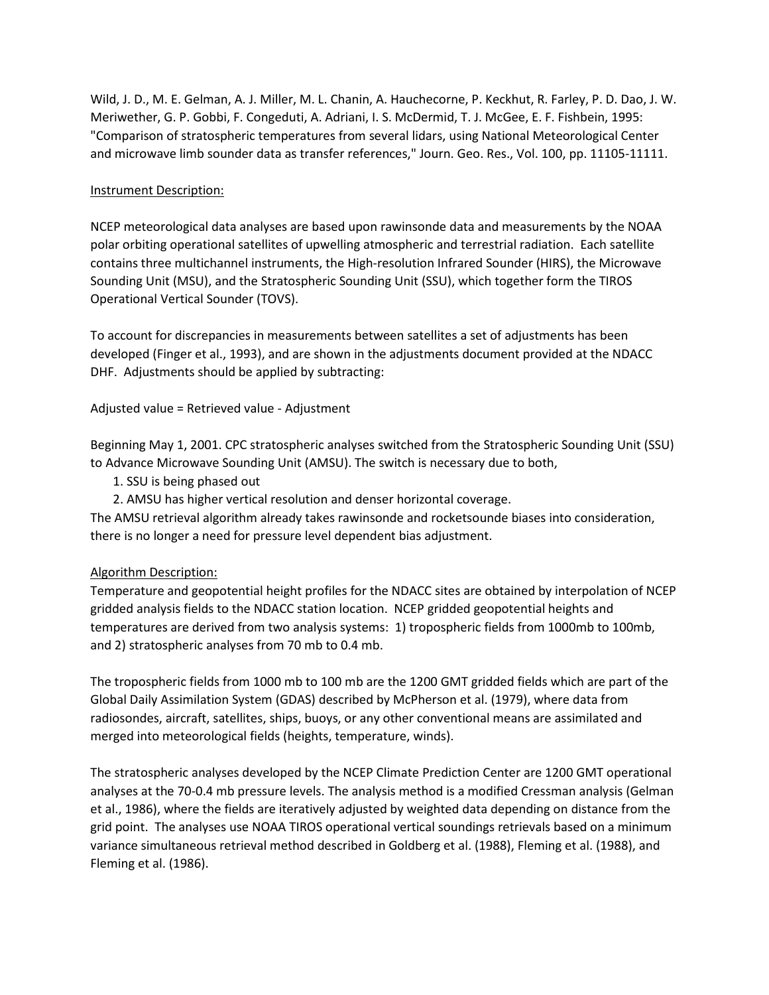Wild, J. D., M. E. Gelman, A. J. Miller, M. L. Chanin, A. Hauchecorne, P. Keckhut, R. Farley, P. D. Dao, J. W. Meriwether, G. P. Gobbi, F. Congeduti, A. Adriani, I. S. McDermid, T. J. McGee, E. F. Fishbein, 1995: "Comparison of stratospheric temperatures from several lidars, using National Meteorological Center and microwave limb sounder data as transfer references," Journ. Geo. Res., Vol. 100, pp. 11105-11111.

# Instrument Description:

NCEP meteorological data analyses are based upon rawinsonde data and measurements by the NOAA polar orbiting operational satellites of upwelling atmospheric and terrestrial radiation. Each satellite contains three multichannel instruments, the High-resolution Infrared Sounder (HIRS), the Microwave Sounding Unit (MSU), and the Stratospheric Sounding Unit (SSU), which together form the TIROS Operational Vertical Sounder (TOVS).

To account for discrepancies in measurements between satellites a set of adjustments has been developed (Finger et al., 1993), and are shown in the adjustments document provided at the NDACC DHF. Adjustments should be applied by subtracting:

Adjusted value = Retrieved value - Adjustment

Beginning May 1, 2001. CPC stratospheric analyses switched from the Stratospheric Sounding Unit (SSU) to Advance Microwave Sounding Unit (AMSU). The switch is necessary due to both,

- 1. SSU is being phased out
- 2. AMSU has higher vertical resolution and denser horizontal coverage.

The AMSU retrieval algorithm already takes rawinsonde and rocketsounde biases into consideration, there is no longer a need for pressure level dependent bias adjustment.

# Algorithm Description:

Temperature and geopotential height profiles for the NDACC sites are obtained by interpolation of NCEP gridded analysis fields to the NDACC station location. NCEP gridded geopotential heights and temperatures are derived from two analysis systems: 1) tropospheric fields from 1000mb to 100mb, and 2) stratospheric analyses from 70 mb to 0.4 mb.

The tropospheric fields from 1000 mb to 100 mb are the 1200 GMT gridded fields which are part of the Global Daily Assimilation System (GDAS) described by McPherson et al. (1979), where data from radiosondes, aircraft, satellites, ships, buoys, or any other conventional means are assimilated and merged into meteorological fields (heights, temperature, winds).

The stratospheric analyses developed by the NCEP Climate Prediction Center are 1200 GMT operational analyses at the 70-0.4 mb pressure levels. The analysis method is a modified Cressman analysis (Gelman et al., 1986), where the fields are iteratively adjusted by weighted data depending on distance from the grid point. The analyses use NOAA TIROS operational vertical soundings retrievals based on a minimum variance simultaneous retrieval method described in Goldberg et al. (1988), Fleming et al. (1988), and Fleming et al. (1986).